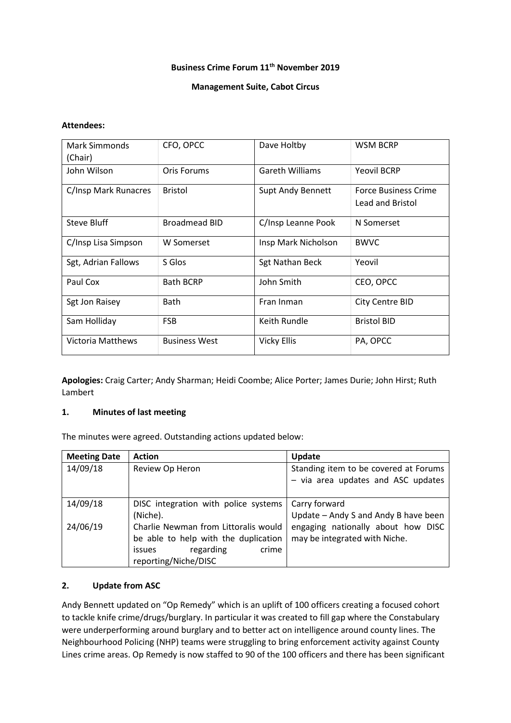## **Business Crime Forum 11th November 2019**

### **Management Suite, Cabot Circus**

#### **Attendees:**

| Mark Simmonds            | CFO, OPCC            | Dave Holtby              | <b>WSM BCRP</b>             |
|--------------------------|----------------------|--------------------------|-----------------------------|
| (Chair)                  |                      |                          |                             |
| John Wilson              | Oris Forums          | <b>Gareth Williams</b>   | <b>Yeovil BCRP</b>          |
| C/Insp Mark Runacres     | <b>Bristol</b>       | <b>Supt Andy Bennett</b> | <b>Force Business Crime</b> |
|                          |                      |                          | Lead and Bristol            |
| Steve Bluff              | <b>Broadmead BID</b> | C/Insp Leanne Pook       | N Somerset                  |
| C/Insp Lisa Simpson      | W Somerset           | Insp Mark Nicholson      | <b>BWVC</b>                 |
| Sgt, Adrian Fallows      | S Glos               | <b>Sgt Nathan Beck</b>   | Yeovil                      |
| Paul Cox                 | <b>Bath BCRP</b>     | John Smith               | CEO, OPCC                   |
| Sgt Jon Raisey           | <b>Bath</b>          | Fran Inman               | <b>City Centre BID</b>      |
| Sam Holliday             | <b>FSB</b>           | Keith Rundle             | <b>Bristol BID</b>          |
| <b>Victoria Matthews</b> | <b>Business West</b> | <b>Vicky Ellis</b>       | PA, OPCC                    |

**Apologies:** Craig Carter; Andy Sharman; Heidi Coombe; Alice Porter; James Durie; John Hirst; Ruth Lambert

### **1. Minutes of last meeting**

The minutes were agreed. Outstanding actions updated below:

| <b>Meeting Date</b> | <b>Action</b>                                                                                                                               | Update                                                                      |
|---------------------|---------------------------------------------------------------------------------------------------------------------------------------------|-----------------------------------------------------------------------------|
| 14/09/18            | Review Op Heron                                                                                                                             | Standing item to be covered at Forums<br>- via area updates and ASC updates |
| 14/09/18            | DISC integration with police systems<br>(Niche).                                                                                            | Carry forward<br>Update - Andy S and Andy B have been                       |
| 24/06/19            | Charlie Newman from Littoralis would<br>be able to help with the duplication<br>crime<br>regarding<br><i>issues</i><br>reporting/Niche/DISC | engaging nationally about how DISC<br>may be integrated with Niche.         |

### **2. Update from ASC**

Andy Bennett updated on "Op Remedy" which is an uplift of 100 officers creating a focused cohort to tackle knife crime/drugs/burglary. In particular it was created to fill gap where the Constabulary were underperforming around burglary and to better act on intelligence around county lines. The Neighbourhood Policing (NHP) teams were struggling to bring enforcement activity against County Lines crime areas. Op Remedy is now staffed to 90 of the 100 officers and there has been significant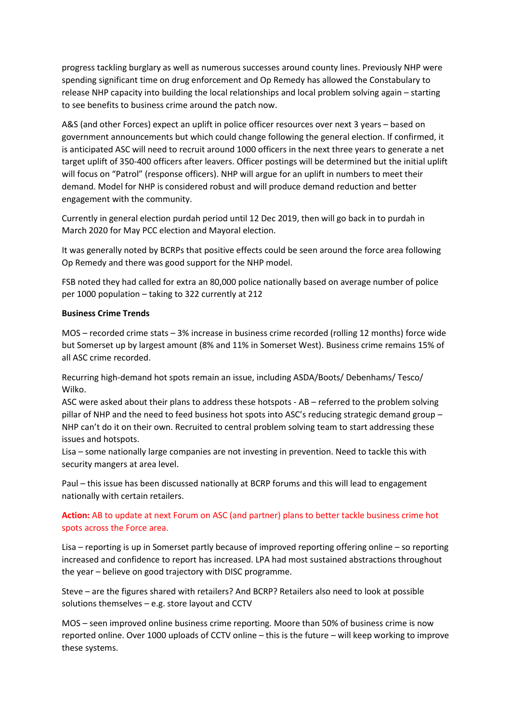progress tackling burglary as well as numerous successes around county lines. Previously NHP were spending significant time on drug enforcement and Op Remedy has allowed the Constabulary to release NHP capacity into building the local relationships and local problem solving again – starting to see benefits to business crime around the patch now.

A&S (and other Forces) expect an uplift in police officer resources over next 3 years – based on government announcements but which could change following the general election. If confirmed, it is anticipated ASC will need to recruit around 1000 officers in the next three years to generate a net target uplift of 350-400 officers after leavers. Officer postings will be determined but the initial uplift will focus on "Patrol" (response officers). NHP will argue for an uplift in numbers to meet their demand. Model for NHP is considered robust and will produce demand reduction and better engagement with the community.

Currently in general election purdah period until 12 Dec 2019, then will go back in to purdah in March 2020 for May PCC election and Mayoral election.

It was generally noted by BCRPs that positive effects could be seen around the force area following Op Remedy and there was good support for the NHP model.

FSB noted they had called for extra an 80,000 police nationally based on average number of police per 1000 population – taking to 322 currently at 212

### **Business Crime Trends**

MOS – recorded crime stats – 3% increase in business crime recorded (rolling 12 months) force wide but Somerset up by largest amount (8% and 11% in Somerset West). Business crime remains 15% of all ASC crime recorded.

Recurring high-demand hot spots remain an issue, including ASDA/Boots/ Debenhams/ Tesco/ Wilko.

ASC were asked about their plans to address these hotspots - AB – referred to the problem solving pillar of NHP and the need to feed business hot spots into ASC's reducing strategic demand group – NHP can't do it on their own. Recruited to central problem solving team to start addressing these issues and hotspots.

Lisa – some nationally large companies are not investing in prevention. Need to tackle this with security mangers at area level.

Paul – this issue has been discussed nationally at BCRP forums and this will lead to engagement nationally with certain retailers.

## **Action:** AB to update at next Forum on ASC (and partner) plans to better tackle business crime hot spots across the Force area.

Lisa – reporting is up in Somerset partly because of improved reporting offering online – so reporting increased and confidence to report has increased. LPA had most sustained abstractions throughout the year – believe on good trajectory with DISC programme.

Steve – are the figures shared with retailers? And BCRP? Retailers also need to look at possible solutions themselves – e.g. store layout and CCTV

MOS – seen improved online business crime reporting. Moore than 50% of business crime is now reported online. Over 1000 uploads of CCTV online – this is the future – will keep working to improve these systems.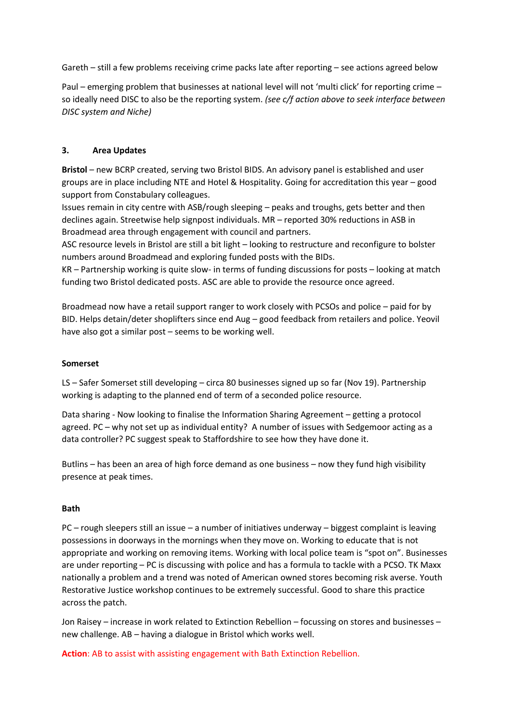Gareth – still a few problems receiving crime packs late after reporting – see actions agreed below

Paul – emerging problem that businesses at national level will not 'multi click' for reporting crime – so ideally need DISC to also be the reporting system. *(see c/f action above to seek interface between DISC system and Niche)*

### **3. Area Updates**

**Bristol** – new BCRP created, serving two Bristol BIDS. An advisory panel is established and user groups are in place including NTE and Hotel & Hospitality. Going for accreditation this year – good support from Constabulary colleagues.

Issues remain in city centre with ASB/rough sleeping – peaks and troughs, gets better and then declines again. Streetwise help signpost individuals. MR – reported 30% reductions in ASB in Broadmead area through engagement with council and partners.

ASC resource levels in Bristol are still a bit light – looking to restructure and reconfigure to bolster numbers around Broadmead and exploring funded posts with the BIDs.

KR – Partnership working is quite slow- in terms of funding discussions for posts – looking at match funding two Bristol dedicated posts. ASC are able to provide the resource once agreed.

Broadmead now have a retail support ranger to work closely with PCSOs and police – paid for by BID. Helps detain/deter shoplifters since end Aug – good feedback from retailers and police. Yeovil have also got a similar post – seems to be working well.

### **Somerset**

LS – Safer Somerset still developing – circa 80 businesses signed up so far (Nov 19). Partnership working is adapting to the planned end of term of a seconded police resource.

Data sharing - Now looking to finalise the Information Sharing Agreement – getting a protocol agreed. PC – why not set up as individual entity? A number of issues with Sedgemoor acting as a data controller? PC suggest speak to Staffordshire to see how they have done it.

Butlins – has been an area of high force demand as one business – now they fund high visibility presence at peak times.

### **Bath**

PC – rough sleepers still an issue – a number of initiatives underway – biggest complaint is leaving possessions in doorways in the mornings when they move on. Working to educate that is not appropriate and working on removing items. Working with local police team is "spot on". Businesses are under reporting – PC is discussing with police and has a formula to tackle with a PCSO. TK Maxx nationally a problem and a trend was noted of American owned stores becoming risk averse. Youth Restorative Justice workshop continues to be extremely successful. Good to share this practice across the patch.

Jon Raisey – increase in work related to Extinction Rebellion – focussing on stores and businesses – new challenge. AB – having a dialogue in Bristol which works well.

**Action**: AB to assist with assisting engagement with Bath Extinction Rebellion.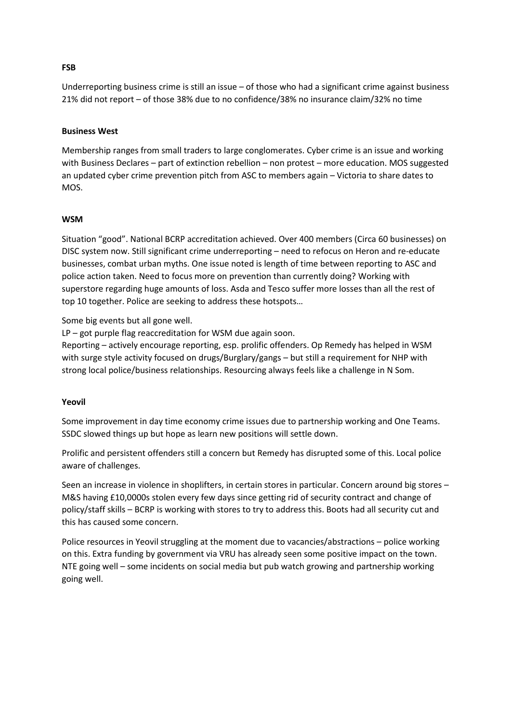### **Business West**

Membership ranges from small traders to large conglomerates. Cyber crime is an issue and working with Business Declares – part of extinction rebellion – non protest – more education. MOS suggested an updated cyber crime prevention pitch from ASC to members again – Victoria to share dates to MOS.

Underreporting business crime is still an issue – of those who had a significant crime against business

21% did not report – of those 38% due to no confidence/38% no insurance claim/32% no time

#### **WSM**

Situation "good". National BCRP accreditation achieved. Over 400 members (Circa 60 businesses) on DISC system now. Still significant crime underreporting – need to refocus on Heron and re-educate businesses, combat urban myths. One issue noted is length of time between reporting to ASC and police action taken. Need to focus more on prevention than currently doing? Working with superstore regarding huge amounts of loss. Asda and Tesco suffer more losses than all the rest of top 10 together. Police are seeking to address these hotspots…

Some big events but all gone well.

LP – got purple flag reaccreditation for WSM due again soon.

Reporting – actively encourage reporting, esp. prolific offenders. Op Remedy has helped in WSM with surge style activity focused on drugs/Burglary/gangs – but still a requirement for NHP with strong local police/business relationships. Resourcing always feels like a challenge in N Som.

#### **Yeovil**

Some improvement in day time economy crime issues due to partnership working and One Teams. SSDC slowed things up but hope as learn new positions will settle down.

Prolific and persistent offenders still a concern but Remedy has disrupted some of this. Local police aware of challenges.

Seen an increase in violence in shoplifters, in certain stores in particular. Concern around big stores – M&S having £10,0000s stolen every few days since getting rid of security contract and change of policy/staff skills – BCRP is working with stores to try to address this. Boots had all security cut and this has caused some concern.

Police resources in Yeovil struggling at the moment due to vacancies/abstractions – police working on this. Extra funding by government via VRU has already seen some positive impact on the town. NTE going well – some incidents on social media but pub watch growing and partnership working going well.

#### **FSB**